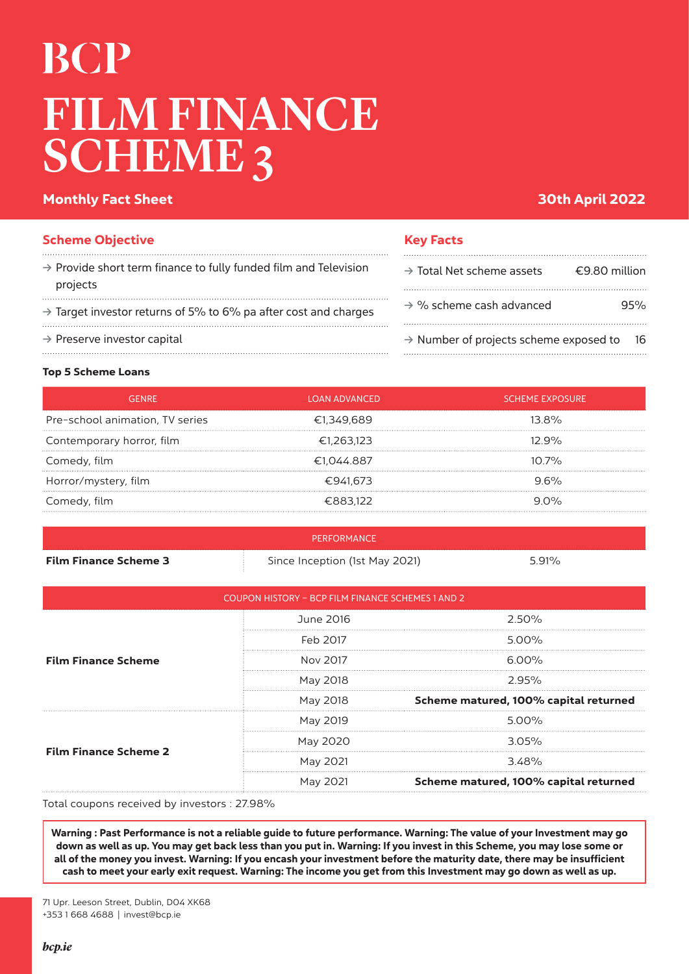# **BCP** FILM FINANCE SCHEME 3

## Monthly Fact Sheet 30th April 2022 **30th April 2022**

| <b>Scheme Objective</b>                                                                  | <b>Key Facts</b>              |
|------------------------------------------------------------------------------------------|-------------------------------|
| $\rightarrow$ Provide short term finance to fully funded film and Television<br>projects | $\rightarrow$ Total Net scher |
| $\rightarrow$ Target investor returns of 5% to 6% pa after cost and charges              | $\rightarrow$ % scheme cash   |
| $\rightarrow$ Preserve investor capital                                                  | $\rightarrow$ Number of proj  |

| $\rightarrow$ Total Net scheme assets              | €9.80 million |
|----------------------------------------------------|---------------|
| $\rightarrow$ % scheme cash advanced               | 95%           |
| $\rightarrow$ Number of projects scheme exposed to | 16            |

#### Top 5 Scheme Loans

|                                 | LOAN ADVANCED | I SCHEME EXPOSURE' |
|---------------------------------|---------------|--------------------|
| Pre-school animation, TV series | €1,349,689    | 13.8%              |
| Contemporary horror, film       | €1,263.123    | $7.9\%$            |
| Comedy, film                    | €1,044.887    | $10.7\%$           |
| Horror/mystery, film            | €941,673      |                    |
| Comedy, film                    | €883122       | $90\%$             |
|                                 |               |                    |

|                              | PERFORMANCE                    |       |  |
|------------------------------|--------------------------------|-------|--|
| <b>Film Finance Scheme 3</b> | Since Inception (1st May 2021) | 5.91% |  |

| COUPON HISTORY - BCP FILM FINANCE SCHEMES 1 AND 2 |           |                                       |
|---------------------------------------------------|-----------|---------------------------------------|
| <b>Film Finance Scheme</b>                        | June 2016 | 2.50%                                 |
|                                                   | Feb 2017  | $5.00\%$                              |
|                                                   | Nov 2017  | 6.00%                                 |
|                                                   | May 2018  | 2.95%                                 |
|                                                   | May 2018  | Scheme matured, 100% capital returned |
| <b>Film Finance Scheme 2</b>                      | May 2019  | 500%                                  |
|                                                   | May 2020  | $3.05\%$                              |
|                                                   | May 2021  | 3.48%                                 |
|                                                   | May 2021  | Scheme matured, 100% capital returned |

Total coupons received by investors : 27.98%

Warning : Past Performance is not a reliable guide to future performance. Warning: The value of your Investment may go down as well as up. You may get back less than you put in. Warning: If you invest in this Scheme, you may lose some or all of the money you invest. Warning: If you encash your investment before the maturity date, there may be insufficient cash to meet your early exit request. Warning: The income you get from this Investment may go down as well as up.

71 Upr. Leeson Street, Dublin, D04 XK68 +353 1 668 4688 | invest@bcp.ie